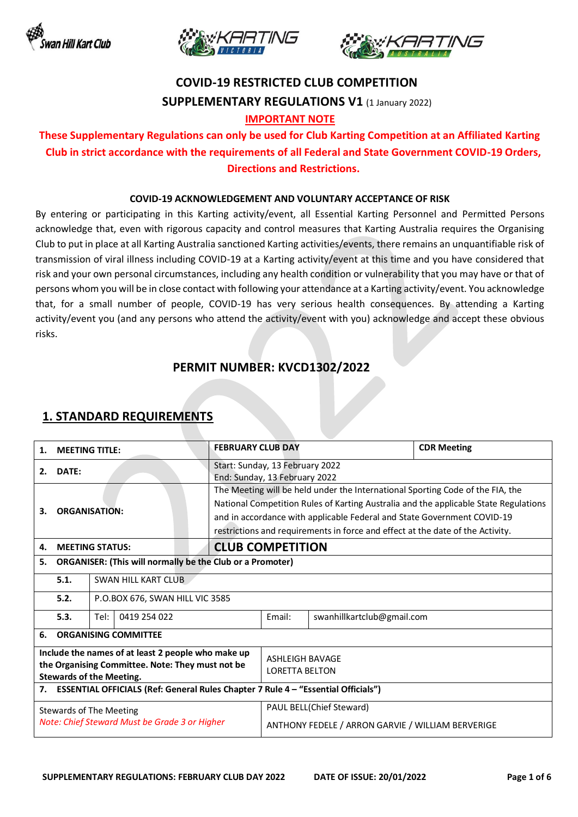





# **COVID-19 RESTRICTED CLUB COMPETITION SUPPLEMENTARY REGULATIONS V1** (1 January 2022)

#### **IMPORTANT NOTE**

## **These Supplementary Regulations can only be used for Club Karting Competition at an Affiliated Karting Club in strict accordance with the requirements of all Federal and State Government COVID-19 Orders, Directions and Restrictions.**

#### **COVID-19 ACKNOWLEDGEMENT AND VOLUNTARY ACCEPTANCE OF RISK**

By entering or participating in this Karting activity/event, all Essential Karting Personnel and Permitted Persons acknowledge that, even with rigorous capacity and control measures that Karting Australia requires the Organising Club to put in place at all Karting Australia sanctioned Karting activities/events, there remains an unquantifiable risk of transmission of viral illness including COVID-19 at a Karting activity/event at this time and you have considered that risk and your own personal circumstances, including any health condition or vulnerability that you may have or that of persons whom you will be in close contact with following your attendance at a Karting activity/event. You acknowledge that, for a small number of people, COVID-19 has very serious health consequences. By attending a Karting activity/event you (and any persons who attend the activity/event with you) acknowledge and accept these obvious risks.

#### **PERMIT NUMBER: KVCD1302/2022**

| 1.                                                                                                                                        | <b>FEBRUARY CLUB DAY</b><br><b>MEETING TITLE:</b>                                        |                                 |                                                                               |                                                                                                                                                                                                                                                                                                                                     |                            | <b>CDR Meeting</b> |  |
|-------------------------------------------------------------------------------------------------------------------------------------------|------------------------------------------------------------------------------------------|---------------------------------|-------------------------------------------------------------------------------|-------------------------------------------------------------------------------------------------------------------------------------------------------------------------------------------------------------------------------------------------------------------------------------------------------------------------------------|----------------------------|--------------------|--|
| 2.                                                                                                                                        | DATE:                                                                                    |                                 |                                                                               | Start: Sunday, 13 February 2022<br>End: Sunday, 13 February 2022                                                                                                                                                                                                                                                                    |                            |                    |  |
| 3.                                                                                                                                        | <b>ORGANISATION:</b>                                                                     |                                 |                                                                               | The Meeting will be held under the International Sporting Code of the FIA, the<br>National Competition Rules of Karting Australia and the applicable State Regulations<br>and in accordance with applicable Federal and State Government COVID-19<br>restrictions and requirements in force and effect at the date of the Activity. |                            |                    |  |
| <b>MEETING STATUS:</b><br>4.                                                                                                              |                                                                                          |                                 |                                                                               | <b>CLUB COMPETITION</b>                                                                                                                                                                                                                                                                                                             |                            |                    |  |
| <b>ORGANISER: (This will normally be the Club or a Promoter)</b><br>5.                                                                    |                                                                                          |                                 |                                                                               |                                                                                                                                                                                                                                                                                                                                     |                            |                    |  |
|                                                                                                                                           | 5.1.                                                                                     | SWAN HILL KART CLUB             |                                                                               |                                                                                                                                                                                                                                                                                                                                     |                            |                    |  |
|                                                                                                                                           | 5.2.                                                                                     | P.O.BOX 676, SWAN HILL VIC 3585 |                                                                               |                                                                                                                                                                                                                                                                                                                                     |                            |                    |  |
|                                                                                                                                           | 5.3.                                                                                     | 0419 254 022<br>Tel:            |                                                                               | Email:                                                                                                                                                                                                                                                                                                                              | swanhillkartclub@gmail.com |                    |  |
| 6.                                                                                                                                        | <b>ORGANISING COMMITTEE</b>                                                              |                                 |                                                                               |                                                                                                                                                                                                                                                                                                                                     |                            |                    |  |
| Include the names of at least 2 people who make up<br>the Organising Committee. Note: They must not be<br><b>Stewards of the Meeting.</b> |                                                                                          |                                 |                                                                               | <b>ASHLEIGH BAVAGE</b><br><b>LORETTA BELTON</b>                                                                                                                                                                                                                                                                                     |                            |                    |  |
| 7.                                                                                                                                        | <b>ESSENTIAL OFFICIALS (Ref: General Rules Chapter 7 Rule 4 - "Essential Officials")</b> |                                 |                                                                               |                                                                                                                                                                                                                                                                                                                                     |                            |                    |  |
| Stewards of The Meeting<br>Note: Chief Steward Must be Grade 3 or Higher                                                                  |                                                                                          |                                 | PAUL BELL(Chief Steward)<br>ANTHONY FEDELE / ARRON GARVIE / WILLIAM BERVERIGE |                                                                                                                                                                                                                                                                                                                                     |                            |                    |  |

### **1. STANDARD REQUIREMENTS**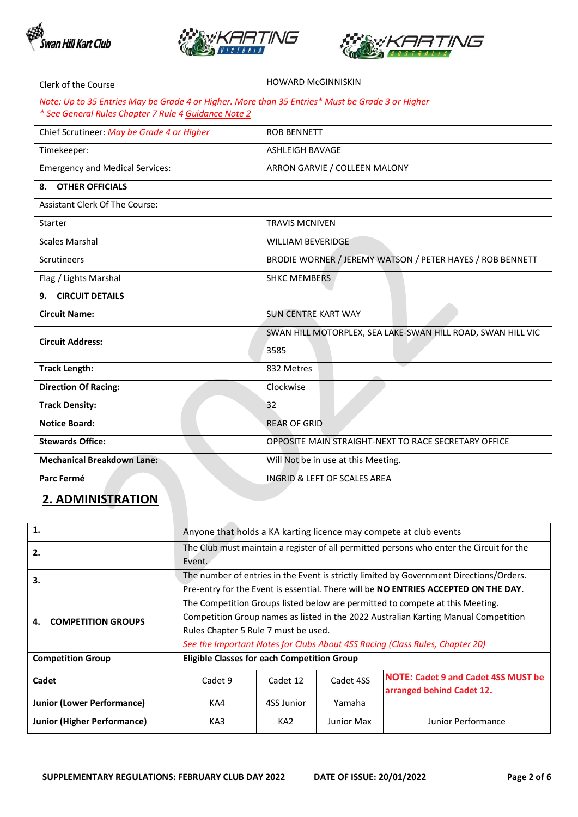





| Clerk of the Course                                                                              | <b>HOWARD McGINNISKIN</b>                                   |  |  |  |
|--------------------------------------------------------------------------------------------------|-------------------------------------------------------------|--|--|--|
| Note: Up to 35 Entries May be Grade 4 or Higher. More than 35 Entries* Must be Grade 3 or Higher |                                                             |  |  |  |
| * See General Rules Chapter 7 Rule 4 Guidance Note 2                                             |                                                             |  |  |  |
| Chief Scrutineer: May be Grade 4 or Higher                                                       | <b>ROB BENNETT</b>                                          |  |  |  |
| Timekeeper:                                                                                      | ASHLEIGH BAVAGE                                             |  |  |  |
| <b>Emergency and Medical Services:</b>                                                           | ARRON GARVIE / COLLEEN MALONY                               |  |  |  |
| <b>OTHER OFFICIALS</b><br>8.                                                                     |                                                             |  |  |  |
| <b>Assistant Clerk Of The Course:</b>                                                            |                                                             |  |  |  |
| <b>Starter</b>                                                                                   | <b>TRAVIS MCNIVEN</b>                                       |  |  |  |
| <b>Scales Marshal</b>                                                                            | <b>WILLIAM BEVERIDGE</b>                                    |  |  |  |
| <b>Scrutineers</b>                                                                               | BRODIE WORNER / JEREMY WATSON / PETER HAYES / ROB BENNETT   |  |  |  |
| Flag / Lights Marshal                                                                            | <b>SHKC MEMBERS</b>                                         |  |  |  |
| <b>CIRCUIT DETAILS</b><br>9.                                                                     |                                                             |  |  |  |
| <b>Circuit Name:</b>                                                                             | <b>SUN CENTRE KART WAY</b>                                  |  |  |  |
| <b>Circuit Address:</b>                                                                          | SWAN HILL MOTORPLEX, SEA LAKE-SWAN HILL ROAD, SWAN HILL VIC |  |  |  |
|                                                                                                  | 3585                                                        |  |  |  |
| <b>Track Length:</b>                                                                             | 832 Metres                                                  |  |  |  |
| <b>Direction Of Racing:</b>                                                                      | Clockwise                                                   |  |  |  |
| <b>Track Density:</b>                                                                            | 32                                                          |  |  |  |
| <b>Notice Board:</b>                                                                             | <b>REAR OF GRID</b>                                         |  |  |  |
| <b>Stewards Office:</b>                                                                          | OPPOSITE MAIN STRAIGHT-NEXT TO RACE SECRETARY OFFICE        |  |  |  |
| <b>Mechanical Breakdown Lane:</b>                                                                | Will Not be in use at this Meeting.                         |  |  |  |
| Parc Fermé                                                                                       | <b>INGRID &amp; LEFT OF SCALES AREA</b>                     |  |  |  |

## **2. ADMINISTRATION**

| 1.                                 | Anyone that holds a KA karting licence may compete at club events                                                                                                                                                                                                                            |                 |            |                                                                         |  |  |
|------------------------------------|----------------------------------------------------------------------------------------------------------------------------------------------------------------------------------------------------------------------------------------------------------------------------------------------|-----------------|------------|-------------------------------------------------------------------------|--|--|
| 2.                                 | The Club must maintain a register of all permitted persons who enter the Circuit for the<br>Event.                                                                                                                                                                                           |                 |            |                                                                         |  |  |
| З.                                 | The number of entries in the Event is strictly limited by Government Directions/Orders.<br>Pre-entry for the Event is essential. There will be NO ENTRIES ACCEPTED ON THE DAY.                                                                                                               |                 |            |                                                                         |  |  |
| <b>COMPETITION GROUPS</b>          | The Competition Groups listed below are permitted to compete at this Meeting.<br>Competition Group names as listed in the 2022 Australian Karting Manual Competition<br>Rules Chapter 5 Rule 7 must be used.<br>See the Important Notes for Clubs About 4SS Racing (Class Rules, Chapter 20) |                 |            |                                                                         |  |  |
| <b>Competition Group</b>           | <b>Eligible Classes for each Competition Group</b>                                                                                                                                                                                                                                           |                 |            |                                                                         |  |  |
| Cadet                              | Cadet 9                                                                                                                                                                                                                                                                                      | Cadet 12        | Cadet 4SS  | <b>NOTE: Cadet 9 and Cadet 4SS MUST be</b><br>arranged behind Cadet 12. |  |  |
| <b>Junior (Lower Performance)</b>  | KA4                                                                                                                                                                                                                                                                                          | 4SS Junior      | Yamaha     |                                                                         |  |  |
| <b>Junior (Higher Performance)</b> | KA3                                                                                                                                                                                                                                                                                          | KA <sub>2</sub> | Junior Max | Junior Performance                                                      |  |  |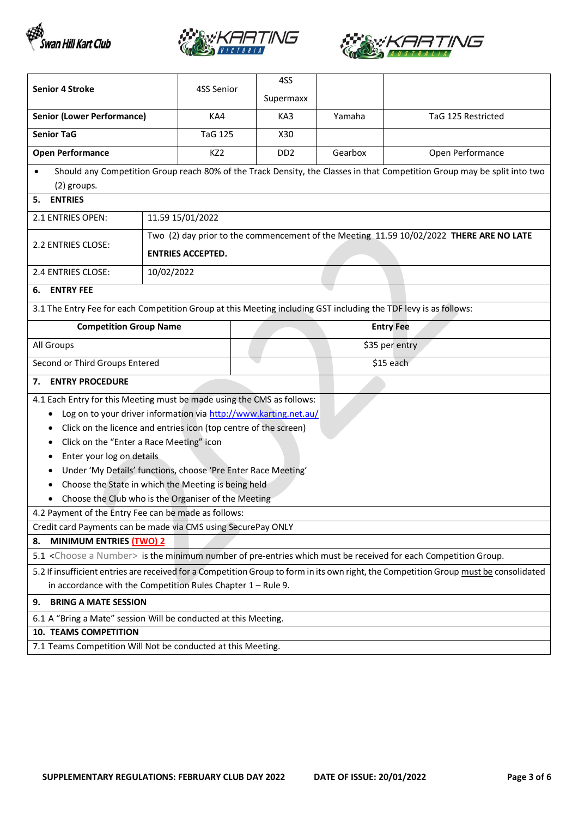





| <b>Senior 4 Stroke</b>                                                                                                                | 4SS Senior                                                       |  | 4SS                         |         |                                                                                                                          |  |
|---------------------------------------------------------------------------------------------------------------------------------------|------------------------------------------------------------------|--|-----------------------------|---------|--------------------------------------------------------------------------------------------------------------------------|--|
|                                                                                                                                       |                                                                  |  | Supermaxx                   |         |                                                                                                                          |  |
| <b>Senior (Lower Performance)</b>                                                                                                     | KA4                                                              |  | KA3                         | Yamaha  | TaG 125 Restricted                                                                                                       |  |
| <b>Senior TaG</b>                                                                                                                     | <b>TaG 125</b>                                                   |  | X30                         |         |                                                                                                                          |  |
| <b>Open Performance</b>                                                                                                               | KZ2                                                              |  | D <sub>D</sub> <sub>2</sub> | Gearbox | Open Performance                                                                                                         |  |
| (2) groups.                                                                                                                           |                                                                  |  |                             |         | Should any Competition Group reach 80% of the Track Density, the Classes in that Competition Group may be split into two |  |
| <b>ENTRIES</b><br>5.                                                                                                                  |                                                                  |  |                             |         |                                                                                                                          |  |
| 2.1 ENTRIES OPEN:                                                                                                                     | 11.59 15/01/2022                                                 |  |                             |         |                                                                                                                          |  |
|                                                                                                                                       |                                                                  |  |                             |         | Two (2) day prior to the commencement of the Meeting 11.59 10/02/2022 THERE ARE NO LATE                                  |  |
| 2.2 ENTRIES CLOSE:                                                                                                                    | <b>ENTRIES ACCEPTED.</b>                                         |  |                             |         |                                                                                                                          |  |
| 2.4 ENTRIES CLOSE:                                                                                                                    | 10/02/2022                                                       |  |                             |         |                                                                                                                          |  |
| <b>ENTRY FEE</b><br>6.                                                                                                                |                                                                  |  |                             |         |                                                                                                                          |  |
| 3.1 The Entry Fee for each Competition Group at this Meeting including GST including the TDF levy is as follows:                      |                                                                  |  |                             |         |                                                                                                                          |  |
| <b>Competition Group Name</b>                                                                                                         |                                                                  |  | <b>Entry Fee</b>            |         |                                                                                                                          |  |
| All Groups                                                                                                                            |                                                                  |  |                             |         | \$35 per entry                                                                                                           |  |
| Second or Third Groups Entered                                                                                                        |                                                                  |  | \$15 each                   |         |                                                                                                                          |  |
| <b>ENTRY PROCEDURE</b><br>7.                                                                                                          |                                                                  |  |                             |         |                                                                                                                          |  |
| 4.1 Each Entry for this Meeting must be made using the CMS as follows:                                                                |                                                                  |  |                             |         |                                                                                                                          |  |
| ٠                                                                                                                                     | Log on to your driver information via http://www.karting.net.au/ |  |                             |         |                                                                                                                          |  |
|                                                                                                                                       | Click on the licence and entries icon (top centre of the screen) |  |                             |         |                                                                                                                          |  |
|                                                                                                                                       | Click on the "Enter a Race Meeting" icon                         |  |                             |         |                                                                                                                          |  |
| Enter your log on details                                                                                                             |                                                                  |  |                             |         |                                                                                                                          |  |
|                                                                                                                                       | Under 'My Details' functions, choose 'Pre Enter Race Meeting'    |  |                             |         |                                                                                                                          |  |
|                                                                                                                                       | Choose the State in which the Meeting is being held              |  |                             |         |                                                                                                                          |  |
| Choose the Club who is the Organiser of the Meeting                                                                                   |                                                                  |  |                             |         |                                                                                                                          |  |
|                                                                                                                                       | 4.2 Payment of the Entry Fee can be made as follows:             |  |                             |         |                                                                                                                          |  |
| Credit card Payments can be made via CMS using SecurePay ONLY<br><b>MINIMUM ENTRIES (TWO) 2</b><br>8.                                 |                                                                  |  |                             |         |                                                                                                                          |  |
| 5.1 <choose a="" number=""> is the minimum number of pre-entries which must be received for each Competition Group.</choose>          |                                                                  |  |                             |         |                                                                                                                          |  |
| 5.2 If insufficient entries are received for a Competition Group to form in its own right, the Competition Group must be consolidated |                                                                  |  |                             |         |                                                                                                                          |  |
| in accordance with the Competition Rules Chapter $1 -$ Rule 9.                                                                        |                                                                  |  |                             |         |                                                                                                                          |  |
| <b>BRING A MATE SESSION</b><br>9.                                                                                                     |                                                                  |  |                             |         |                                                                                                                          |  |
| 6.1 A "Bring a Mate" session Will be conducted at this Meeting.                                                                       |                                                                  |  |                             |         |                                                                                                                          |  |
| <b>10. TEAMS COMPETITION</b>                                                                                                          |                                                                  |  |                             |         |                                                                                                                          |  |
| 7.1 Teams Competition Will Not be conducted at this Meeting.                                                                          |                                                                  |  |                             |         |                                                                                                                          |  |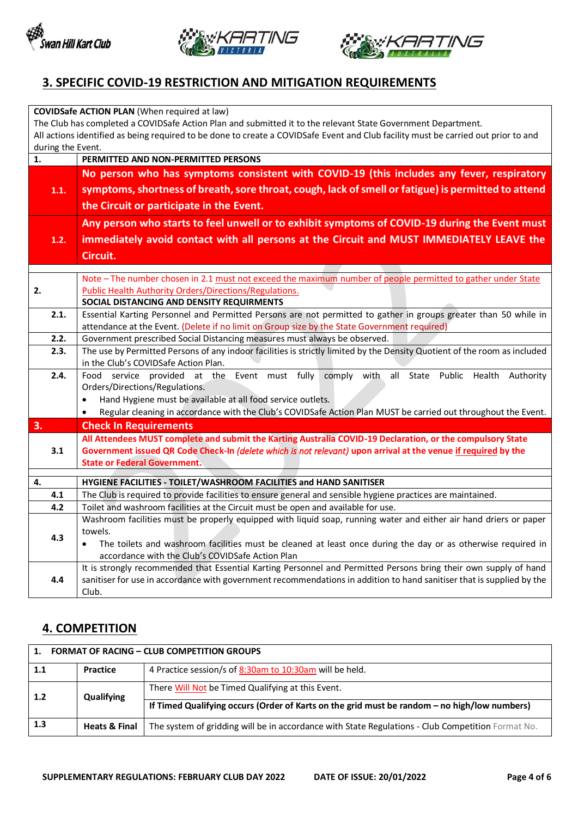





## **3. SPECIFIC COVID-19 RESTRICTION AND MITIGATION REQUIREMENTS**

| <b>COVIDSafe ACTION PLAN (When required at law)</b>                                                                                |                                                                                                                                                                                                                  |  |  |  |  |  |  |
|------------------------------------------------------------------------------------------------------------------------------------|------------------------------------------------------------------------------------------------------------------------------------------------------------------------------------------------------------------|--|--|--|--|--|--|
| The Club has completed a COVIDSafe Action Plan and submitted it to the relevant State Government Department.                       |                                                                                                                                                                                                                  |  |  |  |  |  |  |
| All actions identified as being required to be done to create a COVIDSafe Event and Club facility must be carried out prior to and |                                                                                                                                                                                                                  |  |  |  |  |  |  |
|                                                                                                                                    | during the Event.                                                                                                                                                                                                |  |  |  |  |  |  |
| 1.                                                                                                                                 | PERMITTED AND NON-PERMITTED PERSONS                                                                                                                                                                              |  |  |  |  |  |  |
|                                                                                                                                    | No person who has symptoms consistent with COVID-19 (this includes any fever, respiratory                                                                                                                        |  |  |  |  |  |  |
| 1.1.                                                                                                                               | symptoms, shortness of breath, sore throat, cough, lack of smell or fatigue) is permitted to attend                                                                                                              |  |  |  |  |  |  |
|                                                                                                                                    | the Circuit or participate in the Event.                                                                                                                                                                         |  |  |  |  |  |  |
|                                                                                                                                    | Any person who starts to feel unwell or to exhibit symptoms of COVID-19 during the Event must                                                                                                                    |  |  |  |  |  |  |
| 1.2.                                                                                                                               | immediately avoid contact with all persons at the Circuit and MUST IMMEDIATELY LEAVE the                                                                                                                         |  |  |  |  |  |  |
|                                                                                                                                    | Circuit.                                                                                                                                                                                                         |  |  |  |  |  |  |
|                                                                                                                                    |                                                                                                                                                                                                                  |  |  |  |  |  |  |
|                                                                                                                                    | Note - The number chosen in 2.1 must not exceed the maximum number of people permitted to gather under State                                                                                                     |  |  |  |  |  |  |
| 2.                                                                                                                                 | <b>Public Health Authority Orders/Directions/Regulations.</b><br>SOCIAL DISTANCING AND DENSITY REQUIRMENTS                                                                                                       |  |  |  |  |  |  |
| 2.1.                                                                                                                               |                                                                                                                                                                                                                  |  |  |  |  |  |  |
|                                                                                                                                    | Essential Karting Personnel and Permitted Persons are not permitted to gather in groups greater than 50 while in<br>attendance at the Event. (Delete if no limit on Group size by the State Government required) |  |  |  |  |  |  |
| 2.2.                                                                                                                               | Government prescribed Social Distancing measures must always be observed.                                                                                                                                        |  |  |  |  |  |  |
| 2.3.                                                                                                                               | The use by Permitted Persons of any indoor facilities is strictly limited by the Density Quotient of the room as included                                                                                        |  |  |  |  |  |  |
|                                                                                                                                    | in the Club's COVIDSafe Action Plan.                                                                                                                                                                             |  |  |  |  |  |  |
| 2.4.                                                                                                                               | Food service provided at the Event must fully comply<br>all<br>with<br>State Public<br>Health<br>Authority                                                                                                       |  |  |  |  |  |  |
|                                                                                                                                    | Orders/Directions/Regulations.                                                                                                                                                                                   |  |  |  |  |  |  |
|                                                                                                                                    | Hand Hygiene must be available at all food service outlets.                                                                                                                                                      |  |  |  |  |  |  |
|                                                                                                                                    | Regular cleaning in accordance with the Club's COVIDSafe Action Plan MUST be carried out throughout the Event.                                                                                                   |  |  |  |  |  |  |
| 3.                                                                                                                                 | <b>Check In Requirements</b>                                                                                                                                                                                     |  |  |  |  |  |  |
|                                                                                                                                    | All Attendees MUST complete and submit the Karting Australia COVID-19 Declaration, or the compulsory State                                                                                                       |  |  |  |  |  |  |
| 3.1                                                                                                                                | Government issued QR Code Check-In (delete which is not relevant) upon arrival at the venue if required by the                                                                                                   |  |  |  |  |  |  |
|                                                                                                                                    | <b>State or Federal Government.</b>                                                                                                                                                                              |  |  |  |  |  |  |
| 4.                                                                                                                                 | HYGIENE FACILITIES - TOILET/WASHROOM FACILITIES and HAND SANITISER                                                                                                                                               |  |  |  |  |  |  |
| 4.1                                                                                                                                | The Club is required to provide facilities to ensure general and sensible hygiene practices are maintained.                                                                                                      |  |  |  |  |  |  |
| 4.2                                                                                                                                | Toilet and washroom facilities at the Circuit must be open and available for use.                                                                                                                                |  |  |  |  |  |  |
|                                                                                                                                    | Washroom facilities must be properly equipped with liquid soap, running water and either air hand driers or paper                                                                                                |  |  |  |  |  |  |
| 4.3                                                                                                                                | towels.                                                                                                                                                                                                          |  |  |  |  |  |  |
|                                                                                                                                    | The toilets and washroom facilities must be cleaned at least once during the day or as otherwise required in<br>$\bullet$                                                                                        |  |  |  |  |  |  |
|                                                                                                                                    | accordance with the Club's COVIDSafe Action Plan                                                                                                                                                                 |  |  |  |  |  |  |
|                                                                                                                                    | It is strongly recommended that Essential Karting Personnel and Permitted Persons bring their own supply of hand                                                                                                 |  |  |  |  |  |  |
| 4.4                                                                                                                                | sanitiser for use in accordance with government recommendations in addition to hand sanitiser that is supplied by the                                                                                            |  |  |  |  |  |  |
|                                                                                                                                    | Club.                                                                                                                                                                                                            |  |  |  |  |  |  |

## **4. COMPETITION**

| 1.  | <b>FORMAT OF RACING - CLUB COMPETITION GROUPS</b> |                                                                                                   |  |  |  |
|-----|---------------------------------------------------|---------------------------------------------------------------------------------------------------|--|--|--|
| 1.1 | Practice                                          | 4 Practice session/s of 8:30am to 10:30am will be held.                                           |  |  |  |
| 1.2 | <b>Qualifying</b>                                 | There Will Not be Timed Qualifying at this Event.                                                 |  |  |  |
|     |                                                   | If Timed Qualifying occurs (Order of Karts on the grid must be random – no high/low numbers)      |  |  |  |
| 1.3 | <b>Heats &amp; Final</b>                          | The system of gridding will be in accordance with State Regulations - Club Competition Format No. |  |  |  |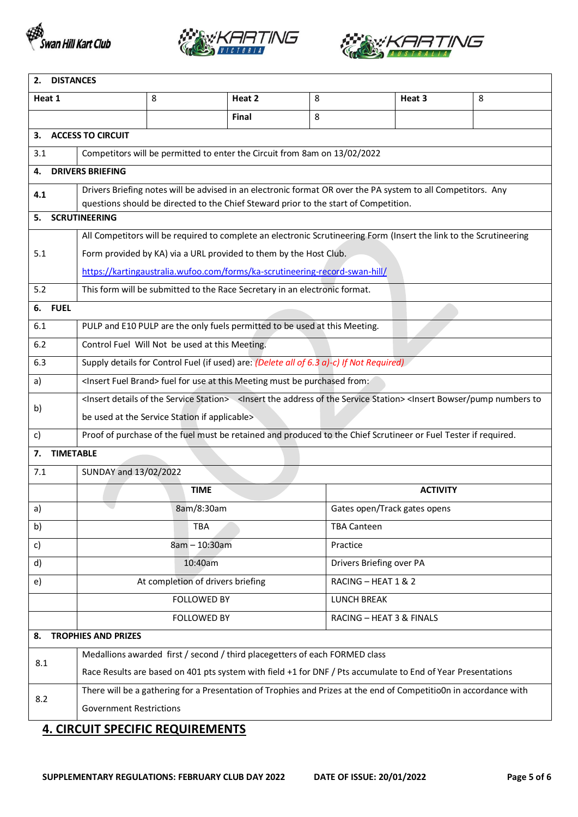





| 2. DISTANCES                     |                                                                                                                                                                                            |                                                                                      |        |                    |                                                                                                                     |   |  |  |
|----------------------------------|--------------------------------------------------------------------------------------------------------------------------------------------------------------------------------------------|--------------------------------------------------------------------------------------|--------|--------------------|---------------------------------------------------------------------------------------------------------------------|---|--|--|
| Heat 1                           |                                                                                                                                                                                            | 8                                                                                    | Heat 2 | 8                  | Heat 3                                                                                                              | 8 |  |  |
|                                  |                                                                                                                                                                                            |                                                                                      | Final  | 8                  |                                                                                                                     |   |  |  |
| З.                               | <b>ACCESS TO CIRCUIT</b>                                                                                                                                                                   |                                                                                      |        |                    |                                                                                                                     |   |  |  |
| 3.1                              |                                                                                                                                                                                            | Competitors will be permitted to enter the Circuit from 8am on 13/02/2022            |        |                    |                                                                                                                     |   |  |  |
| 4.                               | <b>DRIVERS BRIEFING</b>                                                                                                                                                                    |                                                                                      |        |                    |                                                                                                                     |   |  |  |
| 4.1                              |                                                                                                                                                                                            | questions should be directed to the Chief Steward prior to the start of Competition. |        |                    | Drivers Briefing notes will be advised in an electronic format OR over the PA system to all Competitors. Any        |   |  |  |
| 5.                               | <b>SCRUTINEERING</b>                                                                                                                                                                       |                                                                                      |        |                    |                                                                                                                     |   |  |  |
|                                  |                                                                                                                                                                                            |                                                                                      |        |                    | All Competitors will be required to complete an electronic Scrutineering Form (Insert the link to the Scrutineering |   |  |  |
| 5.1                              |                                                                                                                                                                                            | Form provided by KA) via a URL provided to them by the Host Club.                    |        |                    |                                                                                                                     |   |  |  |
|                                  | https://kartingaustralia.wufoo.com/forms/ka-scrutineering-record-swan-hill/                                                                                                                |                                                                                      |        |                    |                                                                                                                     |   |  |  |
| 5.2                              |                                                                                                                                                                                            | This form will be submitted to the Race Secretary in an electronic format.           |        |                    |                                                                                                                     |   |  |  |
| 6. FUEL                          |                                                                                                                                                                                            |                                                                                      |        |                    |                                                                                                                     |   |  |  |
| 6.1                              |                                                                                                                                                                                            | PULP and E10 PULP are the only fuels permitted to be used at this Meeting.           |        |                    |                                                                                                                     |   |  |  |
| 6.2                              | Control Fuel Will Not be used at this Meeting.                                                                                                                                             |                                                                                      |        |                    |                                                                                                                     |   |  |  |
| 6.3                              | Supply details for Control Fuel (if used) are: (Delete all of 6.3 a)-c) If Not Required)                                                                                                   |                                                                                      |        |                    |                                                                                                                     |   |  |  |
| a)                               | <insert brand="" fuel=""> fuel for use at this Meeting must be purchased from:</insert>                                                                                                    |                                                                                      |        |                    |                                                                                                                     |   |  |  |
| b)                               | <lnsert details="" of="" service="" station="" the=""> <lnsert address="" of="" service="" station="" the=""><lnsert bowser="" numbers="" pump="" th="" to<=""></lnsert></lnsert></lnsert> |                                                                                      |        |                    |                                                                                                                     |   |  |  |
|                                  |                                                                                                                                                                                            | be used at the Service Station if applicable>                                        |        |                    |                                                                                                                     |   |  |  |
| c)                               | Proof of purchase of the fuel must be retained and produced to the Chief Scrutineer or Fuel Tester if required.                                                                            |                                                                                      |        |                    |                                                                                                                     |   |  |  |
| <b>TIMETABLE</b><br>7.           |                                                                                                                                                                                            |                                                                                      |        |                    |                                                                                                                     |   |  |  |
| 7.1                              | SUNDAY and 13/02/2022                                                                                                                                                                      |                                                                                      |        |                    |                                                                                                                     |   |  |  |
|                                  |                                                                                                                                                                                            | <b>TIME</b>                                                                          |        |                    | <b>ACTIVITY</b>                                                                                                     |   |  |  |
| a)                               |                                                                                                                                                                                            | 8am/8:30am                                                                           |        |                    | Gates open/Track gates opens                                                                                        |   |  |  |
| b)                               |                                                                                                                                                                                            | TBA                                                                                  |        | <b>TBA Canteen</b> |                                                                                                                     |   |  |  |
| c)                               | 8am - 10:30am                                                                                                                                                                              |                                                                                      |        | Practice           |                                                                                                                     |   |  |  |
| d)                               | Drivers Briefing over PA<br>10:40am                                                                                                                                                        |                                                                                      |        |                    |                                                                                                                     |   |  |  |
| e)                               | At completion of drivers briefing<br>RACING - HEAT 1 & 2                                                                                                                                   |                                                                                      |        |                    |                                                                                                                     |   |  |  |
|                                  |                                                                                                                                                                                            | <b>FOLLOWED BY</b>                                                                   |        | <b>LUNCH BREAK</b> |                                                                                                                     |   |  |  |
|                                  | <b>FOLLOWED BY</b><br>RACING - HEAT 3 & FINALS                                                                                                                                             |                                                                                      |        |                    |                                                                                                                     |   |  |  |
| <b>TROPHIES AND PRIZES</b><br>8. |                                                                                                                                                                                            |                                                                                      |        |                    |                                                                                                                     |   |  |  |
| 8.1                              | Medallions awarded first / second / third placegetters of each FORMED class                                                                                                                |                                                                                      |        |                    |                                                                                                                     |   |  |  |
|                                  | Race Results are based on 401 pts system with field +1 for DNF / Pts accumulate to End of Year Presentations                                                                               |                                                                                      |        |                    |                                                                                                                     |   |  |  |
| 8.2                              |                                                                                                                                                                                            |                                                                                      |        |                    | There will be a gathering for a Presentation of Trophies and Prizes at the end of CompetitioOn in accordance with   |   |  |  |
|                                  | <b>Government Restrictions</b>                                                                                                                                                             |                                                                                      |        |                    |                                                                                                                     |   |  |  |

# **4. CIRCUIT SPECIFIC REQUIREMENTS**